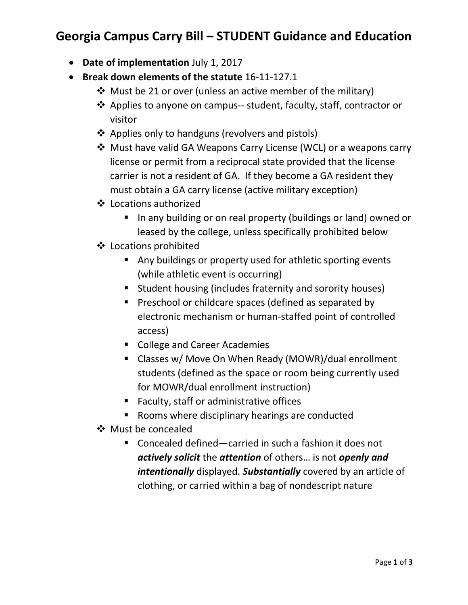# **Georgia Campus Carry Bill – STUDENT Guidance and Education**

- **Date of implementation** July 1, 2017
- **Break down elements of the statute** 16-11-127.1
	- $\cdot$  Must be 21 or over (unless an active member of the military)
	- ❖ Applies to anyone on campus-- student, faculty, staff, contractor or visitor
	- ❖ Applies only to handguns (revolvers and pistols)
	- Must have valid GA Weapons Carry License (WCL) or a weapons carry license or permit from a reciprocal state provided that the license carrier is not a resident of GA. If they become a GA resident they must obtain a GA carry license (active military exception)
	- Locations authorized
		- In any building or on real property (buildings or land) owned or leased by the college, unless specifically prohibited below
	- Locations prohibited
		- Any buildings or property used for athletic sporting events (while athletic event is occurring)
		- Student housing (includes fraternity and sorority houses)
		- **Preschool or childcare spaces (defined as separated by** electronic mechanism or human-staffed point of controlled access)
		- College and Career Academies
		- Classes w/ Move On When Ready (MOWR)/dual enrollment students (defined as the space or room being currently used for MOWR/dual enrollment instruction)
		- Faculty, staff or administrative offices
		- Rooms where disciplinary hearings are conducted
	- ❖ Must be concealed
		- Concealed defined—carried in such a fashion it does not *actively solicit* the *attention* of others… is not *openly and intentionally* displayed. *Substantially* covered by an article of clothing, or carried within a bag of nondescript nature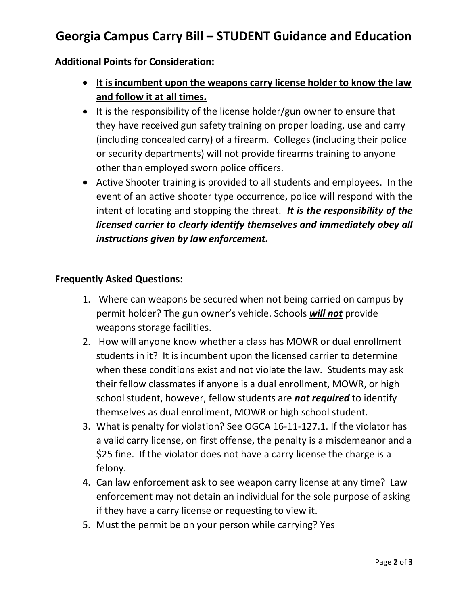# **Georgia Campus Carry Bill – STUDENT Guidance and Education**

### **Additional Points for Consideration:**

- **It is incumbent upon the weapons carry license holder to know the law and follow it at all times.**
- It is the responsibility of the license holder/gun owner to ensure that they have received gun safety training on proper loading, use and carry (including concealed carry) of a firearm. Colleges (including their police or security departments) will not provide firearms training to anyone other than employed sworn police officers.
- Active Shooter training is provided to all students and employees. In the event of an active shooter type occurrence, police will respond with the intent of locating and stopping the threat. *It is the responsibility of the licensed carrier to clearly identify themselves and immediately obey all instructions given by law enforcement.*

#### **Frequently Asked Questions:**

- 1. Where can weapons be secured when not being carried on campus by permit holder? The gun owner's vehicle. Schools *will not* provide weapons storage facilities.
- 2. How will anyone know whether a class has MOWR or dual enrollment students in it? It is incumbent upon the licensed carrier to determine when these conditions exist and not violate the law. Students may ask their fellow classmates if anyone is a dual enrollment, MOWR, or high school student, however, fellow students are *not required* to identify themselves as dual enrollment, MOWR or high school student.
- 3. What is penalty for violation? See OGCA 16-11-127.1. If the violator has a valid carry license, on first offense, the penalty is a misdemeanor and a \$25 fine. If the violator does not have a carry license the charge is a felony.
- 4. Can law enforcement ask to see weapon carry license at any time? Law enforcement may not detain an individual for the sole purpose of asking if they have a carry license or requesting to view it.
- 5. Must the permit be on your person while carrying? Yes